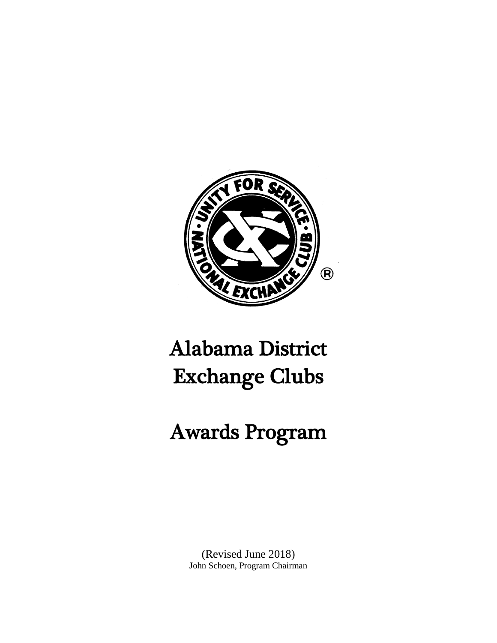

# Alabama District Exchange Clubs

# Awards Program

(Revised June 2018) John Schoen, Program Chairman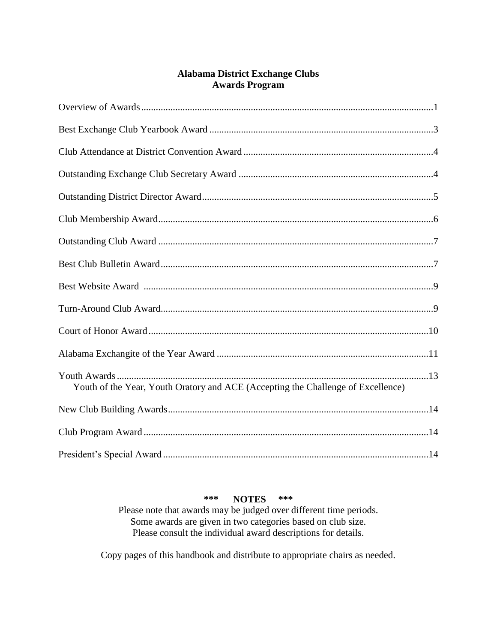## **Alabama District Exchange Clubs Awards Program**

| Youth of the Year, Youth Oratory and ACE (Accepting the Challenge of Excellence) |  |
|----------------------------------------------------------------------------------|--|
|                                                                                  |  |
|                                                                                  |  |
|                                                                                  |  |

#### \*\*\* \*\*\* **NOTES**

Please note that awards may be judged over different time periods. Some awards are given in two categories based on club size. Please consult the individual award descriptions for details.

Copy pages of this handbook and distribute to appropriate chairs as needed.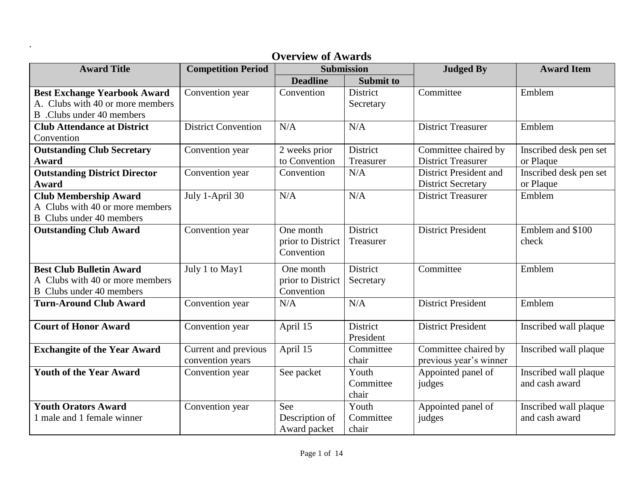| <b>Award Title</b>                   | <b>Competition Period</b>  | Submission        |                  | <b>Judged By</b>              | <b>Award Item</b>      |
|--------------------------------------|----------------------------|-------------------|------------------|-------------------------------|------------------------|
|                                      |                            | <b>Deadline</b>   | <b>Submit to</b> |                               |                        |
| <b>Best Exchange Yearbook Award</b>  | Convention year            | Convention        | <b>District</b>  | Committee                     | Emblem                 |
| A. Clubs with 40 or more members     |                            |                   | Secretary        |                               |                        |
| B. Clubs under 40 members            |                            |                   |                  |                               |                        |
| <b>Club Attendance at District</b>   | <b>District Convention</b> | N/A               | N/A              | <b>District Treasurer</b>     | Emblem                 |
| Convention                           |                            |                   |                  |                               |                        |
| <b>Outstanding Club Secretary</b>    | Convention year            | 2 weeks prior     | District         | Committee chaired by          | Inscribed desk pen set |
| <b>Award</b>                         |                            | to Convention     | Treasurer        | <b>District Treasurer</b>     | or Plaque              |
| <b>Outstanding District Director</b> | Convention year            | Convention        | N/A              | <b>District President and</b> | Inscribed desk pen set |
| <b>Award</b>                         |                            |                   |                  | <b>District Secretary</b>     | or Plaque              |
| <b>Club Membership Award</b>         | July 1-April 30            | N/A               | N/A              | <b>District Treasurer</b>     | Emblem                 |
| A Clubs with 40 or more members      |                            |                   |                  |                               |                        |
| <b>B</b> Clubs under 40 members      |                            |                   |                  |                               |                        |
| <b>Outstanding Club Award</b>        | Convention year            | One month         | District         | <b>District President</b>     | Emblem and \$100       |
|                                      |                            | prior to District | Treasurer        |                               | check                  |
|                                      |                            | Convention        |                  |                               |                        |
| <b>Best Club Bulletin Award</b>      | July 1 to May1             | One month         | District         | Committee                     | Emblem                 |
| A Clubs with 40 or more members      |                            | prior to District | Secretary        |                               |                        |
| <b>B</b> Clubs under 40 members      |                            | Convention        |                  |                               |                        |
| <b>Turn-Around Club Award</b>        | Convention year            | N/A               | N/A              | <b>District President</b>     | Emblem                 |
|                                      |                            |                   |                  |                               |                        |
| <b>Court of Honor Award</b>          | Convention year            | April 15          | District         | <b>District President</b>     | Inscribed wall plaque  |
|                                      |                            |                   | President        |                               |                        |
| <b>Exchangite of the Year Award</b>  | Current and previous       | April 15          | Committee        | Committee chaired by          | Inscribed wall plaque  |
|                                      | convention years           |                   | chair            | previous year's winner        |                        |
| <b>Youth of the Year Award</b>       | Convention year            | See packet        | Youth            | Appointed panel of            | Inscribed wall plaque  |
|                                      |                            |                   | Committee        | judges                        | and cash award         |
|                                      |                            |                   | chair            |                               |                        |
| <b>Youth Orators Award</b>           | Convention year            | See               | Youth            | Appointed panel of            | Inscribed wall plaque  |
| 1 male and 1 female winner           |                            | Description of    | Committee        | judges                        | and cash award         |
|                                      |                            | Award packet      | chair            |                               |                        |

# **Overview of Awards**

.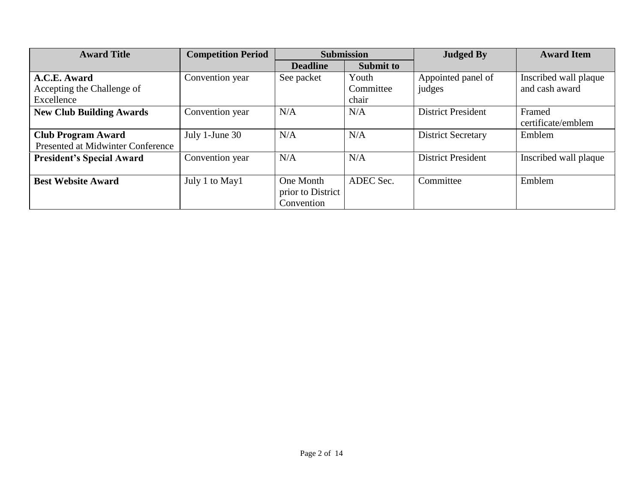| <b>Award Title</b>                                             | <b>Competition Period</b> | <b>Submission</b>                            |                    | <b>Judged By</b>          | <b>Award Item</b>            |
|----------------------------------------------------------------|---------------------------|----------------------------------------------|--------------------|---------------------------|------------------------------|
|                                                                |                           | <b>Deadline</b>                              | <b>Submit to</b>   |                           |                              |
| A.C.E. Award                                                   | Convention year           | See packet                                   | Youth              | Appointed panel of        | Inscribed wall plaque        |
| Accepting the Challenge of<br>Excellence                       |                           |                                              | Committee<br>chair | judges                    | and cash award               |
| <b>New Club Building Awards</b>                                | Convention year           | N/A                                          | N/A                | <b>District President</b> | Framed<br>certificate/emblem |
| <b>Club Program Award</b><br>Presented at Midwinter Conference | July 1-June 30            | N/A                                          | N/A                | <b>District Secretary</b> | Emblem                       |
| <b>President's Special Award</b>                               | Convention year           | N/A                                          | N/A                | <b>District President</b> | Inscribed wall plaque        |
| <b>Best Website Award</b>                                      | July 1 to May1            | One Month<br>prior to District<br>Convention | ADEC Sec.          | Committee                 | Emblem                       |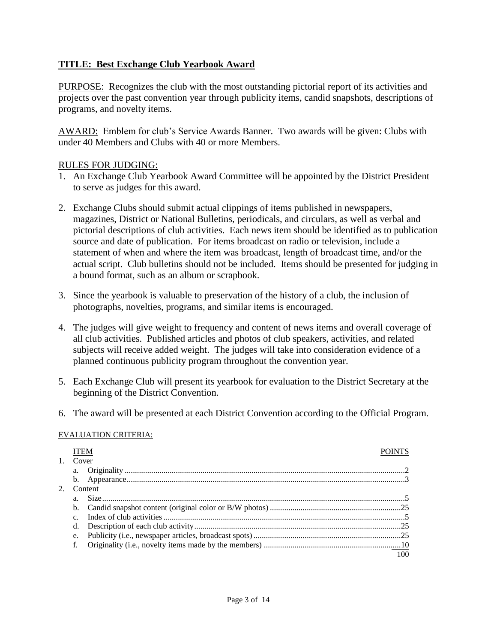#### **TITLE: Best Exchange Club Yearbook Award**

PURPOSE: Recognizes the club with the most outstanding pictorial report of its activities and projects over the past convention year through publicity items, candid snapshots, descriptions of programs, and novelty items.

AWARD: Emblem for club's Service Awards Banner. Two awards will be given: Clubs with under 40 Members and Clubs with 40 or more Members.

#### RULES FOR JUDGING:

- 1. An Exchange Club Yearbook Award Committee will be appointed by the District President to serve as judges for this award.
- 2. Exchange Clubs should submit actual clippings of items published in newspapers, magazines, District or National Bulletins, periodicals, and circulars, as well as verbal and pictorial descriptions of club activities. Each news item should be identified as to publication source and date of publication. For items broadcast on radio or television, include a statement of when and where the item was broadcast, length of broadcast time, and/or the actual script. Club bulletins should not be included. Items should be presented for judging in a bound format, such as an album or scrapbook.
- 3. Since the yearbook is valuable to preservation of the history of a club, the inclusion of photographs, novelties, programs, and similar items is encouraged.
- 4. The judges will give weight to frequency and content of news items and overall coverage of all club activities. Published articles and photos of club speakers, activities, and related subjects will receive added weight. The judges will take into consideration evidence of a planned continuous publicity program throughout the convention year.
- 5. Each Exchange Club will present its yearbook for evaluation to the District Secretary at the beginning of the District Convention.
- 6. The award will be presented at each District Convention according to the Official Program.

#### EVALUATION CRITERIA:

| Cover       |         |  |
|-------------|---------|--|
| a.          |         |  |
|             |         |  |
|             | Content |  |
| a.          |         |  |
| $b_{\cdot}$ |         |  |
|             |         |  |
| d.          |         |  |
| e.          |         |  |
|             |         |  |
|             |         |  |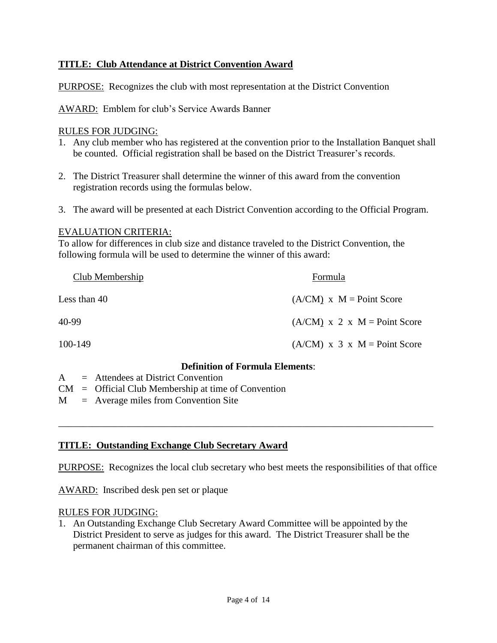## **TITLE: Club Attendance at District Convention Award**

PURPOSE: Recognizes the club with most representation at the District Convention

AWARD: Emblem for club's Service Awards Banner

#### RULES FOR JUDGING:

- 1. Any club member who has registered at the convention prior to the Installation Banquet shall be counted. Official registration shall be based on the District Treasurer's records.
- 2. The District Treasurer shall determine the winner of this award from the convention registration records using the formulas below.
- 3. The award will be presented at each District Convention according to the Official Program.

#### EVALUATION CRITERIA:

To allow for differences in club size and distance traveled to the District Convention, the following formula will be used to determine the winner of this award:

| <b>Club Membership</b> | Formula                        |
|------------------------|--------------------------------|
| Less than 40           | $(A/CM)$ x $M = Point Score$   |
| 40-99                  | $(A/CM)$ x 2 x M = Point Score |
| 100-149                | $(A/CM)$ x 3 x M = Point Score |

#### **Definition of Formula Elements**:

- A = Attendees at District Convention
- CM = Official Club Membership at time of Convention
- M = Average miles from Convention Site

#### **TITLE: Outstanding Exchange Club Secretary Award**

PURPOSE: Recognizes the local club secretary who best meets the responsibilities of that office

\_\_\_\_\_\_\_\_\_\_\_\_\_\_\_\_\_\_\_\_\_\_\_\_\_\_\_\_\_\_\_\_\_\_\_\_\_\_\_\_\_\_\_\_\_\_\_\_\_\_\_\_\_\_\_\_\_\_\_\_\_\_\_\_\_\_\_\_\_\_\_\_\_\_\_\_\_

AWARD: Inscribed desk pen set or plaque

#### RULES FOR JUDGING:

1. An Outstanding Exchange Club Secretary Award Committee will be appointed by the District President to serve as judges for this award. The District Treasurer shall be the permanent chairman of this committee.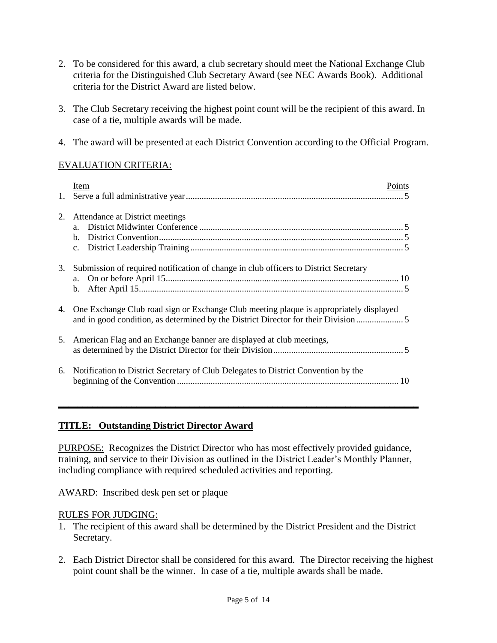- 2. To be considered for this award, a club secretary should meet the National Exchange Club criteria for the Distinguished Club Secretary Award (see NEC Awards Book). Additional criteria for the District Award are listed below.
- 3. The Club Secretary receiving the highest point count will be the recipient of this award. In case of a tie, multiple awards will be made.
- 4. The award will be presented at each District Convention according to the Official Program.

# EVALUATION CRITERIA:

|    | Item<br>Points                                                                            |
|----|-------------------------------------------------------------------------------------------|
|    |                                                                                           |
|    |                                                                                           |
| 2. | Attendance at District meetings                                                           |
|    |                                                                                           |
|    | $\mathbf{b}$ .                                                                            |
|    | C <sub>1</sub>                                                                            |
|    |                                                                                           |
| 3. | Submission of required notification of change in club officers to District Secretary      |
|    | a.                                                                                        |
|    | b.                                                                                        |
|    |                                                                                           |
|    | 4. One Exchange Club road sign or Exchange Club meeting plaque is appropriately displayed |
|    | and in good condition, as determined by the District Director for their Division          |
|    |                                                                                           |
|    | 5. American Flag and an Exchange banner are displayed at club meetings,                   |
|    |                                                                                           |
|    |                                                                                           |
| 6. | Notification to District Secretary of Club Delegates to District Convention by the        |
|    |                                                                                           |

#### **TITLE: Outstanding District Director Award**

PURPOSE: Recognizes the District Director who has most effectively provided guidance, training, and service to their Division as outlined in the District Leader's Monthly Planner, including compliance with required scheduled activities and reporting.

**\_\_\_\_\_\_\_\_\_\_\_\_\_\_\_\_\_\_\_\_\_\_\_\_\_\_\_\_\_\_\_\_\_\_\_\_\_\_\_\_\_\_\_\_\_\_\_\_\_\_\_\_\_\_\_\_\_\_\_\_\_\_\_\_\_\_\_\_\_\_\_\_\_\_**

AWARD: Inscribed desk pen set or plaque

- 1. The recipient of this award shall be determined by the District President and the District Secretary.
- 2. Each District Director shall be considered for this award. The Director receiving the highest point count shall be the winner. In case of a tie, multiple awards shall be made.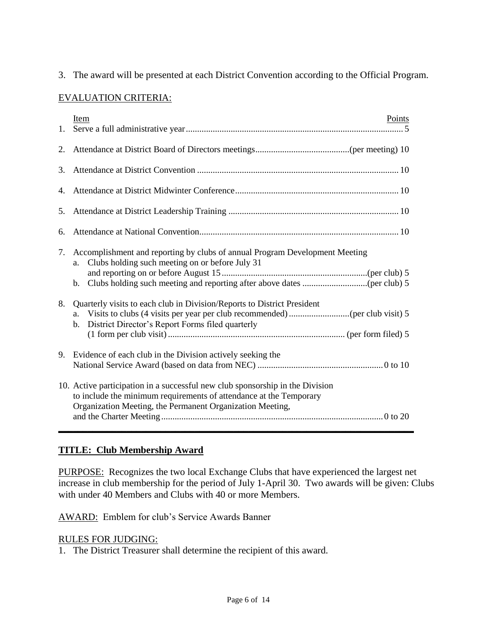3. The award will be presented at each District Convention according to the Official Program.

# EVALUATION CRITERIA:

| 1. | Item<br>Points                                                                                                                                                                                                   |
|----|------------------------------------------------------------------------------------------------------------------------------------------------------------------------------------------------------------------|
| 2. |                                                                                                                                                                                                                  |
| 3. |                                                                                                                                                                                                                  |
| 4. |                                                                                                                                                                                                                  |
| 5. |                                                                                                                                                                                                                  |
| 6. |                                                                                                                                                                                                                  |
| 7. | Accomplishment and reporting by clubs of annual Program Development Meeting<br>Clubs holding such meeting on or before July 31<br>a.<br>b.                                                                       |
| 8. | Quarterly visits to each club in Division/Reports to District President<br>a.<br>District Director's Report Forms filed quarterly<br>$\mathbf{b}$ .                                                              |
| 9. | Evidence of each club in the Division actively seeking the                                                                                                                                                       |
|    | 10. Active participation in a successful new club sponsorship in the Division<br>to include the minimum requirements of attendance at the Temporary<br>Organization Meeting, the Permanent Organization Meeting, |

#### **TITLE: Club Membership Award**

PURPOSE: Recognizes the two local Exchange Clubs that have experienced the largest net increase in club membership for the period of July 1-April 30. Two awards will be given: Clubs with under 40 Members and Clubs with 40 or more Members.

AWARD: Emblem for club's Service Awards Banner

## RULES FOR JUDGING:

1. The District Treasurer shall determine the recipient of this award.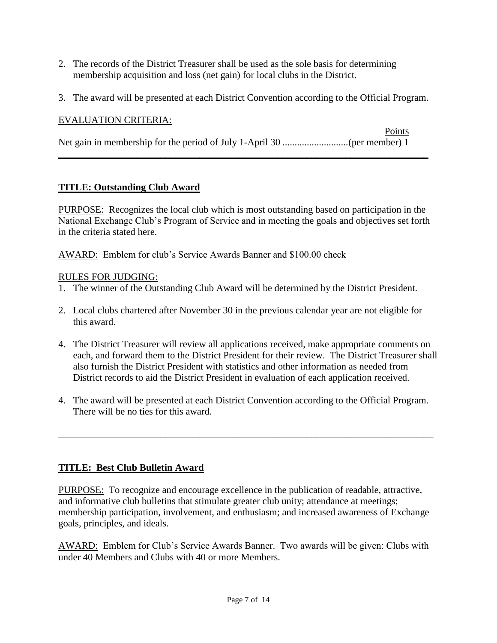- 2. The records of the District Treasurer shall be used as the sole basis for determining membership acquisition and loss (net gain) for local clubs in the District.
- 3. The award will be presented at each District Convention according to the Official Program.

# EVALUATION CRITERIA:

Points Net gain in membership for the period of July 1-April 30 ...........................(per member) 1

**\_\_\_\_\_\_\_\_\_\_\_\_\_\_\_\_\_\_\_\_\_\_\_\_\_\_\_\_\_\_\_\_\_\_\_\_\_\_\_\_\_\_\_\_\_\_\_\_\_\_\_\_\_\_\_\_\_\_\_\_\_\_\_\_\_\_\_\_\_\_\_\_\_\_\_\_**

## **TITLE: Outstanding Club Award**

PURPOSE: Recognizes the local club which is most outstanding based on participation in the National Exchange Club's Program of Service and in meeting the goals and objectives set forth in the criteria stated here.

AWARD: Emblem for club's Service Awards Banner and \$100.00 check

## RULES FOR JUDGING:

- 1. The winner of the Outstanding Club Award will be determined by the District President.
- 2. Local clubs chartered after November 30 in the previous calendar year are not eligible for this award.
- 4. The District Treasurer will review all applications received, make appropriate comments on each, and forward them to the District President for their review. The District Treasurer shall also furnish the District President with statistics and other information as needed from District records to aid the District President in evaluation of each application received.
- 4. The award will be presented at each District Convention according to the Official Program. There will be no ties for this award.

\_\_\_\_\_\_\_\_\_\_\_\_\_\_\_\_\_\_\_\_\_\_\_\_\_\_\_\_\_\_\_\_\_\_\_\_\_\_\_\_\_\_\_\_\_\_\_\_\_\_\_\_\_\_\_\_\_\_\_\_\_\_\_\_\_\_\_\_\_\_\_\_\_\_\_\_\_

# **TITLE: Best Club Bulletin Award**

PURPOSE: To recognize and encourage excellence in the publication of readable, attractive, and informative club bulletins that stimulate greater club unity; attendance at meetings; membership participation, involvement, and enthusiasm; and increased awareness of Exchange goals, principles, and ideals.

AWARD: Emblem for Club's Service Awards Banner. Two awards will be given: Clubs with under 40 Members and Clubs with 40 or more Members.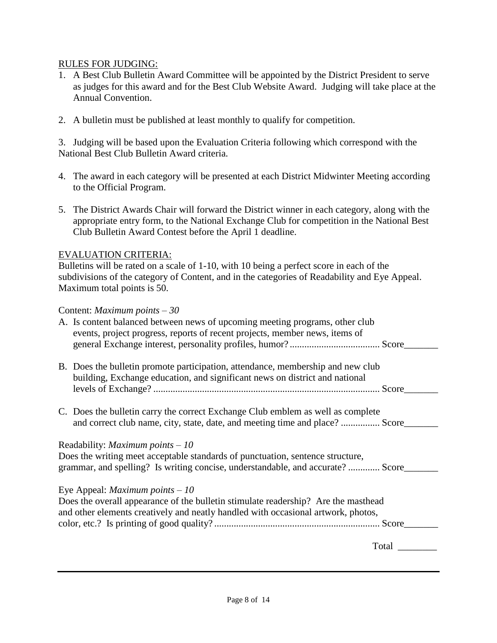#### RULES FOR JUDGING:

- 1. A Best Club Bulletin Award Committee will be appointed by the District President to serve as judges for this award and for the Best Club Website Award. Judging will take place at the Annual Convention.
- 2. A bulletin must be published at least monthly to qualify for competition.

3. Judging will be based upon the Evaluation Criteria following which correspond with the National Best Club Bulletin Award criteria.

- 4. The award in each category will be presented at each District Midwinter Meeting according to the Official Program.
- 5. The District Awards Chair will forward the District winner in each category, along with the appropriate entry form, to the National Exchange Club for competition in the National Best Club Bulletin Award Contest before the April 1 deadline.

#### EVALUATION CRITERIA:

Bulletins will be rated on a scale of 1-10, with 10 being a perfect score in each of the subdivisions of the category of Content, and in the categories of Readability and Eye Appeal. Maximum total points is 50.

#### Content: *Maximum points – 30*

| A. Is content balanced between news of upcoming meeting programs, other club<br>events, project progress, reports of recent projects, member news, items of |       |
|-------------------------------------------------------------------------------------------------------------------------------------------------------------|-------|
|                                                                                                                                                             |       |
|                                                                                                                                                             |       |
| B. Does the bulletin promote participation, attendance, membership and new club                                                                             |       |
| building, Exchange education, and significant news on district and national                                                                                 |       |
|                                                                                                                                                             |       |
|                                                                                                                                                             |       |
| C. Does the bulletin carry the correct Exchange Club emblem as well as complete                                                                             |       |
| and correct club name, city, state, date, and meeting time and place?  Score                                                                                |       |
|                                                                                                                                                             |       |
| Readability: <i>Maximum points – 10</i>                                                                                                                     |       |
| Does the writing meet acceptable standards of punctuation, sentence structure,                                                                              |       |
| grammar, and spelling? Is writing concise, understandable, and accurate?  Score                                                                             |       |
|                                                                                                                                                             |       |
| Eye Appeal: <i>Maximum points</i> $-10$                                                                                                                     |       |
| Does the overall appearance of the bulletin stimulate readership? Are the masthead                                                                          |       |
| and other elements creatively and neatly handled with occasional artwork, photos,                                                                           |       |
|                                                                                                                                                             | Score |
|                                                                                                                                                             |       |
|                                                                                                                                                             | Total |
|                                                                                                                                                             |       |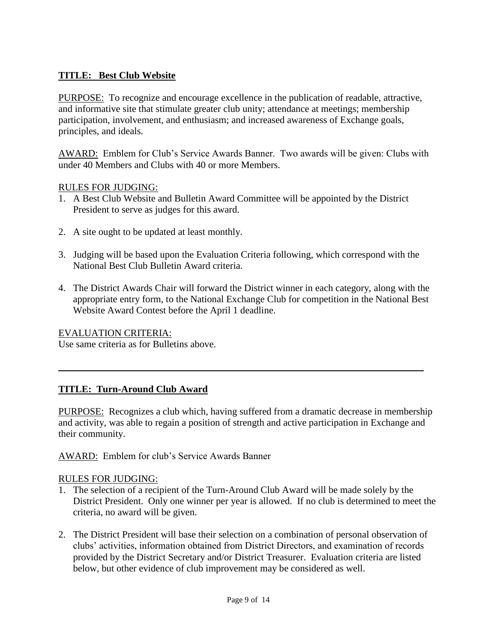# **TITLE: Best Club Website**

PURPOSE: To recognize and encourage excellence in the publication of readable, attractive, and informative site that stimulate greater club unity; attendance at meetings; membership participation, involvement, and enthusiasm; and increased awareness of Exchange goals, principles, and ideals.

AWARD: Emblem for Club's Service Awards Banner. Two awards will be given: Clubs with under 40 Members and Clubs with 40 or more Members.

#### RULES FOR JUDGING:

- 1. A Best Club Website and Bulletin Award Committee will be appointed by the District President to serve as judges for this award.
- 2. A site ought to be updated at least monthly.
- 3. Judging will be based upon the Evaluation Criteria following, which correspond with the National Best Club Bulletin Award criteria.
- 4. The District Awards Chair will forward the District winner in each category, along with the appropriate entry form, to the National Exchange Club for competition in the National Best Website Award Contest before the April 1 deadline.

EVALUATION CRITERIA:

Use same criteria as for Bulletins above.

#### **TITLE: Turn-Around Club Award**

PURPOSE: Recognizes a club which, having suffered from a dramatic decrease in membership and activity, was able to regain a position of strength and active participation in Exchange and their community.

 $\_$  , and the set of the set of the set of the set of the set of the set of the set of the set of the set of the set of the set of the set of the set of the set of the set of the set of the set of the set of the set of th

AWARD: Emblem for club's Service Awards Banner

- 1. The selection of a recipient of the Turn-Around Club Award will be made solely by the District President. Only one winner per year is allowed. If no club is determined to meet the criteria, no award will be given.
- 2. The District President will base their selection on a combination of personal observation of clubs' activities, information obtained from District Directors, and examination of records provided by the District Secretary and/or District Treasurer. Evaluation criteria are listed below, but other evidence of club improvement may be considered as well.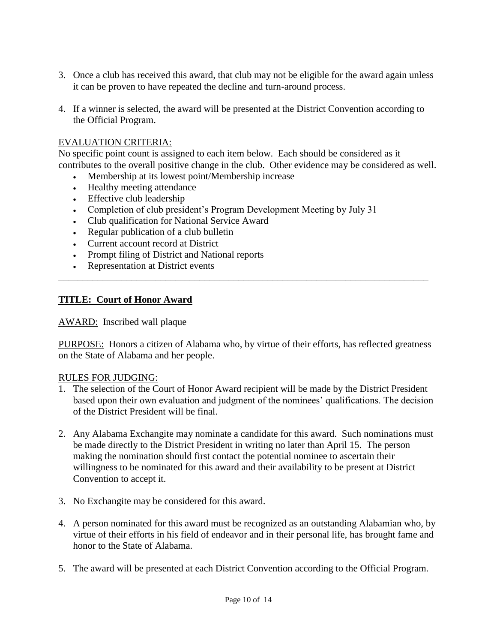- 3. Once a club has received this award, that club may not be eligible for the award again unless it can be proven to have repeated the decline and turn-around process.
- 4. If a winner is selected, the award will be presented at the District Convention according to the Official Program.

# EVALUATION CRITERIA:

No specific point count is assigned to each item below. Each should be considered as it contributes to the overall positive change in the club. Other evidence may be considered as well.

- Membership at its lowest point/Membership increase
- Healthy meeting attendance
- Effective club leadership
- Completion of club president's Program Development Meeting by July 31
- Club qualification for National Service Award
- Regular publication of a club bulletin
- Current account record at District
- Prompt filing of District and National reports
- Representation at District events

#### **TITLE: Court of Honor Award**

#### AWARD: Inscribed wall plaque

PURPOSE: Honors a citizen of Alabama who, by virtue of their efforts, has reflected greatness on the State of Alabama and her people.

\_\_\_\_\_\_\_\_\_\_\_\_\_\_\_\_\_\_\_\_\_\_\_\_\_\_\_\_\_\_\_\_\_\_\_\_\_\_\_\_\_\_\_\_\_\_\_\_\_\_\_\_\_\_\_\_\_\_\_\_\_\_\_\_\_\_\_\_\_\_\_\_\_\_\_\_

- 1. The selection of the Court of Honor Award recipient will be made by the District President based upon their own evaluation and judgment of the nominees' qualifications. The decision of the District President will be final.
- 2. Any Alabama Exchangite may nominate a candidate for this award. Such nominations must be made directly to the District President in writing no later than April 15. The person making the nomination should first contact the potential nominee to ascertain their willingness to be nominated for this award and their availability to be present at District Convention to accept it.
- 3. No Exchangite may be considered for this award.
- 4. A person nominated for this award must be recognized as an outstanding Alabamian who, by virtue of their efforts in his field of endeavor and in their personal life, has brought fame and honor to the State of Alabama.
- 5. The award will be presented at each District Convention according to the Official Program.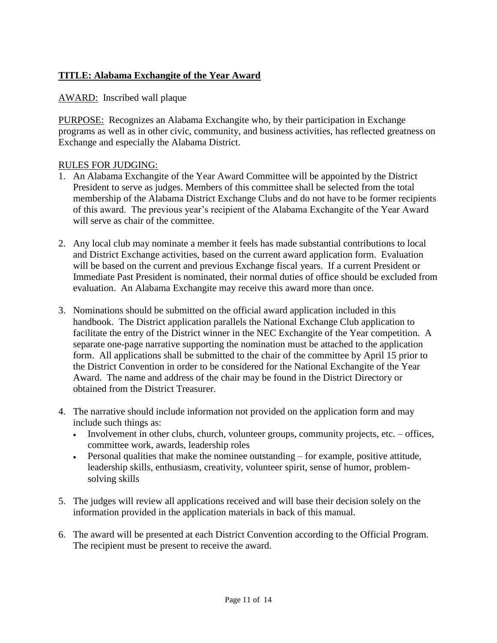# **TITLE: Alabama Exchangite of the Year Award**

## AWARD: Inscribed wall plaque

PURPOSE: Recognizes an Alabama Exchangite who, by their participation in Exchange programs as well as in other civic, community, and business activities, has reflected greatness on Exchange and especially the Alabama District.

- 1. An Alabama Exchangite of the Year Award Committee will be appointed by the District President to serve as judges. Members of this committee shall be selected from the total membership of the Alabama District Exchange Clubs and do not have to be former recipients of this award. The previous year's recipient of the Alabama Exchangite of the Year Award will serve as chair of the committee.
- 2. Any local club may nominate a member it feels has made substantial contributions to local and District Exchange activities, based on the current award application form. Evaluation will be based on the current and previous Exchange fiscal years. If a current President or Immediate Past President is nominated, their normal duties of office should be excluded from evaluation. An Alabama Exchangite may receive this award more than once.
- 3. Nominations should be submitted on the official award application included in this handbook. The District application parallels the National Exchange Club application to facilitate the entry of the District winner in the NEC Exchangite of the Year competition. A separate one-page narrative supporting the nomination must be attached to the application form. All applications shall be submitted to the chair of the committee by April 15 prior to the District Convention in order to be considered for the National Exchangite of the Year Award. The name and address of the chair may be found in the District Directory or obtained from the District Treasurer.
- 4. The narrative should include information not provided on the application form and may include such things as:
	- Involvement in other clubs, church, volunteer groups, community projects, etc. offices, committee work, awards, leadership roles
	- Personal qualities that make the nominee outstanding for example, positive attitude, leadership skills, enthusiasm, creativity, volunteer spirit, sense of humor, problemsolving skills
- 5. The judges will review all applications received and will base their decision solely on the information provided in the application materials in back of this manual.
- 6. The award will be presented at each District Convention according to the Official Program. The recipient must be present to receive the award.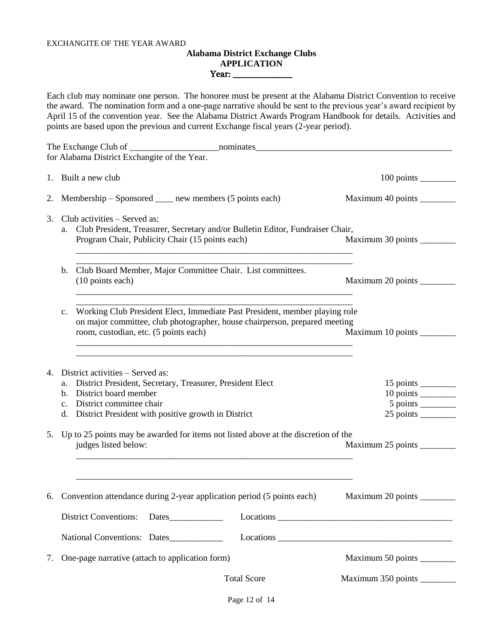#### EXCHANGITE OF THE YEAR AWARD

#### **Alabama District Exchange Clubs APPLICATION** Year: \_\_\_\_\_\_\_\_\_\_\_\_\_\_\_\_\_\_

Each club may nominate one person. The honoree must be present at the Alabama District Convention to receive the award. The nomination form and a one-page narrative should be sent to the previous year's award recipient by April 15 of the convention year. See the Alabama District Awards Program Handbook for details. Activities and points are based upon the previous and current Exchange fiscal years (2-year period).

|    | for Alabama District Exchangite of the Year.                                                                                                                                                                                                                                                                                               |                             |
|----|--------------------------------------------------------------------------------------------------------------------------------------------------------------------------------------------------------------------------------------------------------------------------------------------------------------------------------------------|-----------------------------|
|    | 1. Built a new club                                                                                                                                                                                                                                                                                                                        |                             |
| 2. | Membership – Sponsored _____ new members (5 points each)                                                                                                                                                                                                                                                                                   | Maximum 40 points ________  |
| 3. | Club activities – Served as:<br>a. Club President, Treasurer, Secretary and/or Bulletin Editor, Fundraiser Chair,<br>Program Chair, Publicity Chair (15 points each)                                                                                                                                                                       | Maximum 30 points ________  |
|    | Club Board Member, Major Committee Chair. List committees.<br>b.<br>(10 points each)                                                                                                                                                                                                                                                       | Maximum 20 points ________  |
|    | Working Club President Elect, Immediate Past President, member playing role<br>$c_{\cdot}$<br>on major committee, club photographer, house chairperson, prepared meeting<br>room, custodian, etc. (5 points each)<br><u> 1980 - Johann Barn, amerikan bernama di sebagai bernama di sebagai bernama di sebagai bernama di sebagai bern</u> | Maximum 10 points           |
| 4. | District activities – Served as:<br>District President, Secretary, Treasurer, President Elect<br>a.<br>b. District board member<br>c. District committee chair<br>d. District President with positive growth in District                                                                                                                   | 10 points                   |
|    | 5. Up to 25 points may be awarded for items not listed above at the discretion of the<br>judges listed below:                                                                                                                                                                                                                              | Maximum 25 points _________ |
|    | 6. Convention attendance during 2-year application period (5 points each)                                                                                                                                                                                                                                                                  |                             |
|    | <b>District Conventions:</b>                                                                                                                                                                                                                                                                                                               |                             |
|    | National Conventions: Dates                                                                                                                                                                                                                                                                                                                |                             |
| 7. | One-page narrative (attach to application form)                                                                                                                                                                                                                                                                                            | Maximum 50 points ________  |
|    | <b>Total Score</b>                                                                                                                                                                                                                                                                                                                         | Maximum 350 points _______  |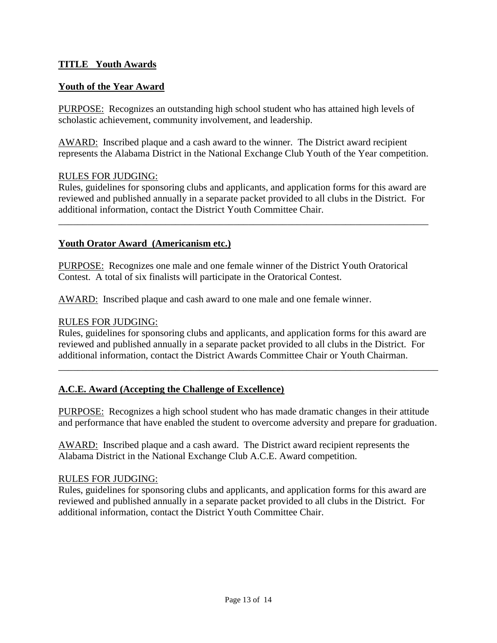#### **TITLE Youth Awards**

## **Youth of the Year Award**

PURPOSE: Recognizes an outstanding high school student who has attained high levels of scholastic achievement, community involvement, and leadership.

AWARD: Inscribed plaque and a cash award to the winner. The District award recipient represents the Alabama District in the National Exchange Club Youth of the Year competition.

#### RULES FOR JUDGING:

Rules, guidelines for sponsoring clubs and applicants, and application forms for this award are reviewed and published annually in a separate packet provided to all clubs in the District. For additional information, contact the District Youth Committee Chair.

\_\_\_\_\_\_\_\_\_\_\_\_\_\_\_\_\_\_\_\_\_\_\_\_\_\_\_\_\_\_\_\_\_\_\_\_\_\_\_\_\_\_\_\_\_\_\_\_\_\_\_\_\_\_\_\_\_\_\_\_\_\_\_\_\_\_\_\_\_\_\_\_\_\_\_\_

#### **Youth Orator Award (Americanism etc.)**

PURPOSE: Recognizes one male and one female winner of the District Youth Oratorical Contest. A total of six finalists will participate in the Oratorical Contest.

AWARD: Inscribed plaque and cash award to one male and one female winner.

#### RULES FOR JUDGING:

Rules, guidelines for sponsoring clubs and applicants, and application forms for this award are reviewed and published annually in a separate packet provided to all clubs in the District. For additional information, contact the District Awards Committee Chair or Youth Chairman.

\_\_\_\_\_\_\_\_\_\_\_\_\_\_\_\_\_\_\_\_\_\_\_\_\_\_\_\_\_\_\_\_\_\_\_\_\_\_\_\_\_\_\_\_\_\_\_\_\_\_\_\_\_\_\_\_\_\_\_\_\_\_\_\_\_\_\_\_\_\_\_\_\_\_\_\_\_\_

#### **A.C.E. Award (Accepting the Challenge of Excellence)**

PURPOSE: Recognizes a high school student who has made dramatic changes in their attitude and performance that have enabled the student to overcome adversity and prepare for graduation.

AWARD: Inscribed plaque and a cash award. The District award recipient represents the Alabama District in the National Exchange Club A.C.E. Award competition.

#### RULES FOR JUDGING:

Rules, guidelines for sponsoring clubs and applicants, and application forms for this award are reviewed and published annually in a separate packet provided to all clubs in the District. For additional information, contact the District Youth Committee Chair.